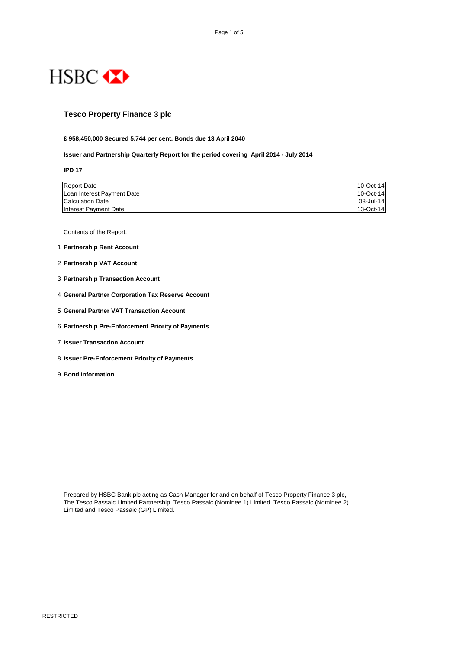

# **Tesco Property Finance 3 plc**

#### **£ 958,450,000 Secured 5.744 per cent. Bonds due 13 April 2040**

#### **Issuer and Partnership Quarterly Report for the period covering April 2014 - July 2014**

**IPD 17**

| <b>Report Date</b>         | 10-Oct-14 |
|----------------------------|-----------|
| Loan Interest Payment Date | 10-Oct-14 |
| <b>Calculation Date</b>    | 08-Jul-14 |
| Interest Payment Date      | 13-Oct-14 |

Contents of the Report:

- 1 **Partnership Rent Account**
- 2 **Partnership VAT Account**
- 3 **Partnership Transaction Account**
- 4 **General Partner Corporation Tax Reserve Account**
- 5 **General Partner VAT Transaction Account**
- 6 **Partnership Pre-Enforcement Priority of Payments**
- 7 **Issuer Transaction Account**
- 8 **Issuer Pre-Enforcement Priority of Payments**
- 9 **Bond Information**

Prepared by HSBC Bank plc acting as Cash Manager for and on behalf of Tesco Property Finance 3 plc, The Tesco Passaic Limited Partnership, Tesco Passaic (Nominee 1) Limited, Tesco Passaic (Nominee 2) Limited and Tesco Passaic (GP) Limited.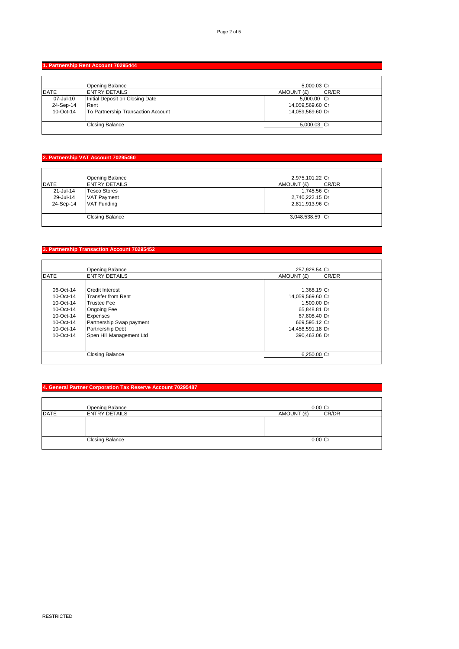## **1. Partnership Rent Account 70295444**

|             | Opening Balance                    | 5,000.03 Cr      |       |
|-------------|------------------------------------|------------------|-------|
| <b>DATE</b> | <b>ENTRY DETAILS</b>               | AMOUNT (£)       | CR/DR |
| 07-Jul-10   | Initial Deposit on Closing Date    | 5,000.00 Cr      |       |
| 24-Sep-14   | Rent                               | 14,059,569.60 Cr |       |
| 10-Oct-14   | To Partnership Transaction Account | 14,059,569.60 Dr |       |
|             | <b>Closing Balance</b>             | 5,000.03 Cr      |       |
|             |                                    |                  |       |

# **2. Partnership VAT Account 70295460**

|              | Opening Balance        | 2,975,101.22 Cr     |
|--------------|------------------------|---------------------|
| <b>IDATE</b> | <b>ENTRY DETAILS</b>   | CR/DR<br>AMOUNT (£) |
| 21-Jul-14    | <b>Tesco Stores</b>    | 1,745.56 Cr         |
| 29-Jul-14    | <b>VAT Payment</b>     | 2,740,222.15 Dr     |
| 24-Sep-14    | <b>VAT Funding</b>     | 2,811,913.96 Cr     |
|              |                        |                     |
|              | <b>Closing Balance</b> | 3,048,538.59 Cr     |
|              |                        |                     |

# **3. Partnership Transaction Account 70295452**

|              | <b>Opening Balance</b>    | 257,928.54 Cr       |
|--------------|---------------------------|---------------------|
| <b>IDATE</b> | <b>ENTRY DETAILS</b>      | AMOUNT (£)<br>CR/DR |
|              |                           |                     |
| 06-Oct-14    | <b>Credit Interest</b>    | 1,368.19 Cr         |
| 10-Oct-14    | <b>Transfer from Rent</b> | 14,059,569.60 Cr    |
| 10-Oct-14    | <b>Trustee Fee</b>        | 1.500.00 Dr         |
| 10-Oct-14    | <b>Ongoing Fee</b>        | 65,848.81 Dr        |
| 10-Oct-14    | <b>Expenses</b>           | 67,808.40 Dr        |
| 10-Oct-14    | Partnership Swap payment  | 669,595.12 Cr       |
| 10-Oct-14    | <b>Partnership Debt</b>   | 14,456,591.18 Dr    |
| 10-Oct-14    | Spen Hill Management Ltd  | 390,463.06 Dr       |
|              |                           |                     |
|              | <b>Closing Balance</b>    | 6,250.00 Cr         |
|              |                           |                     |

## **4. General Partner Corporation Tax Reserve Account 70295487**

|             | <b>Opening Balance</b> | $0.00$ Cr           |
|-------------|------------------------|---------------------|
| <b>DATE</b> | <b>ENTRY DETAILS</b>   | CR/DR<br>AMOUNT (£) |
|             |                        |                     |
|             | <b>Closing Balance</b> | $0.00$ Cr           |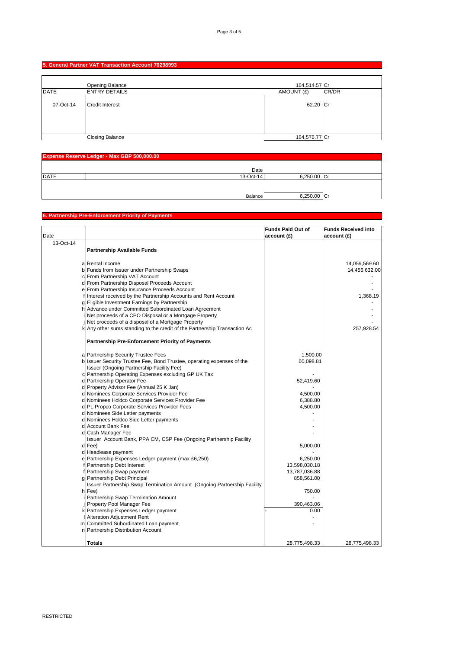## **5. General Partner VAT Transaction Account 70298993**

|             | Opening Balance        | 164,514.57 Cr |       |
|-------------|------------------------|---------------|-------|
| <b>DATE</b> | <b>ENTRY DETAILS</b>   | AMOUNT (£)    | CR/DR |
| 07-Oct-14   | <b>Credit Interest</b> | 62.20 Cr      |       |
|             | <b>Closing Balance</b> | 164,576.77 Cr |       |

| Expense Reserve Ledger - Max GBP 500,000.00 |           |             |  |
|---------------------------------------------|-----------|-------------|--|
|                                             | Date      |             |  |
| <b>DATE</b>                                 | 13-Oct-14 | 6,250.00 Cr |  |
|                                             |           |             |  |
|                                             | Balance   | 6,250.00 Cr |  |

#### **6. Partnership Pre-Enforcement Priority of Payments**

|           |                                                                           | <b>Funds Paid Out of</b> | <b>Funds Received into</b> |
|-----------|---------------------------------------------------------------------------|--------------------------|----------------------------|
| Date      |                                                                           | account(f)               | account (£)                |
| 13-Oct-14 |                                                                           |                          |                            |
|           | Partnership Available Funds                                               |                          |                            |
|           |                                                                           |                          |                            |
|           | a Rental Income                                                           |                          | 14,059,569.60              |
|           | b Funds from Issuer under Partnership Swaps                               |                          | 14,456,632.00              |
|           | c From Partnership VAT Account                                            |                          |                            |
|           | d From Partnership Disposal Proceeds Account                              |                          |                            |
|           | e From Partnership Insurance Proceeds Account                             |                          |                            |
|           | f Interest received by the Partnership Accounts and Rent Account          |                          | 1,368.19                   |
|           | g Eligible Investment Earnings by Partnership                             |                          |                            |
|           | h Advance under Committed Subordinated Loan Agreement                     |                          |                            |
|           | Net proceeds of a CPO Disposal or a Mortgage Property                     |                          |                            |
|           | Net proceeds of a disposal of a Mortgage Property                         |                          |                            |
|           | k Any other sums standing to the credit of the Partnership Transaction Ac |                          | 257,928.54                 |
|           |                                                                           |                          |                            |
|           | <b>Partnership Pre-Enforcement Priority of Payments</b>                   |                          |                            |
|           | a Partnership Security Trustee Fees                                       | 1,500.00                 |                            |
|           | b Issuer Security Trustee Fee, Bond Trustee, operating expenses of the    | 60,098.81                |                            |
|           | Issuer (Ongoing Partnership Facility Fee)                                 |                          |                            |
|           | c Partnership Operating Expenses excluding GP UK Tax                      |                          |                            |
|           | d Partnership Operator Fee                                                | 52,419.60                |                            |
|           | d Property Advisor Fee (Annual 25 K Jan)                                  |                          |                            |
|           | d Nominees Corporate Services Provider Fee                                | 4,500.00                 |                            |
|           | d Nominees Holdco Corporate Services Provider Fee                         | 6,388.80                 |                            |
|           | d PL Propco Corporate Services Provider Fees                              | 4,500.00                 |                            |
|           | d Nominees Side Letter payments                                           |                          |                            |
|           | d Nominees Holdco Side Letter payments                                    |                          |                            |
|           | d Account Bank Fee                                                        |                          |                            |
|           | d Cash Manager Fee                                                        |                          |                            |
|           | Issuer Account Bank, PPA CM, CSP Fee (Ongoing Partnership Facility        |                          |                            |
|           | d Fee)                                                                    | 5,000.00                 |                            |
|           | d Headlease payment                                                       |                          |                            |
|           | e Partnership Expenses Ledger payment (max £6,250)                        | 6,250.00                 |                            |
|           | f Partnership Debt Interest                                               | 13,598,030.18            |                            |
|           | f Partnership Swap payment                                                | 13,787,036.88            |                            |
|           | g Partnership Debt Principal                                              | 858,561.00               |                            |
|           | Issuer Partnership Swap Termination Amount (Ongoing Partnership Facility  |                          |                            |
|           | h Fee)                                                                    | 750.00                   |                            |
|           | Partnership Swap Termination Amount                                       |                          |                            |
|           | j Property Pool Manager Fee                                               | 390,463.06               |                            |
|           | k Partnership Expenses Ledger payment                                     | 0.00                     |                            |
|           | I Alteration Adjustment Rent                                              |                          |                            |
|           | m Committed Subordinated Loan payment                                     |                          |                            |
|           | n Partnership Distribution Account                                        |                          |                            |
|           | <b>Totals</b>                                                             | 28,775,498.33            | 28,775,498.33              |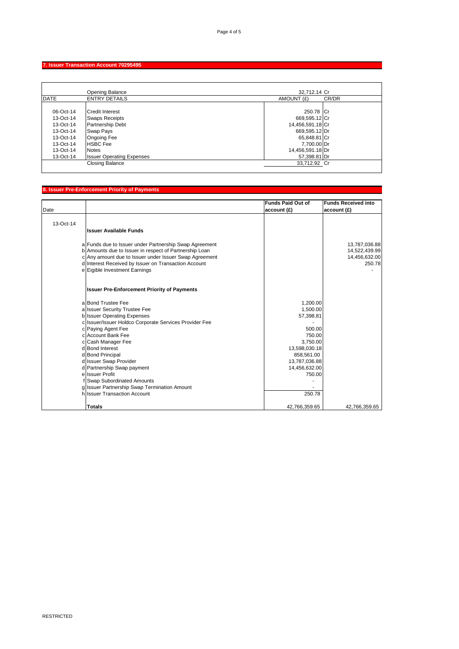## **7. Issuer Transaction Account 70295495**

|             | Opening Balance                  | 32.712.14 Cr        |
|-------------|----------------------------------|---------------------|
| <b>DATE</b> | <b>ENTRY DETAILS</b>             | CR/DR<br>AMOUNT (£) |
|             |                                  |                     |
| 06-Oct-14   | <b>Credit Interest</b>           | 250.78 Cr           |
| 13-Oct-14   | <b>Swaps Receipts</b>            | 669,595.12 Cr       |
| 13-Oct-14   | <b>Partnership Debt</b>          | 14,456,591.18 Cr    |
| 13-Oct-14   | Swap Pays                        | 669,595.12 Dr       |
| 13-Oct-14   | <b>Ongoing Fee</b>               | 65,848.81 Cr        |
| $13-Oct-14$ | <b>HSBC</b> Fee                  | 7.700.00 Dr         |
| 13-Oct-14   | <b>Notes</b>                     | 14,456,591.18 Dr    |
| 13-Oct-14   | <b>Issuer Operating Expenses</b> | 57,398.81 Dr        |
|             | <b>Closing Balance</b>           | 33,712.92 Cr        |
|             |                                  |                     |

## **8. Issuer Pre-Enforcement Priority of Payments**

| Date      |                                                        | <b>Funds Paid Out of</b><br>account (£) | <b>Funds Received into</b><br>account (£) |
|-----------|--------------------------------------------------------|-----------------------------------------|-------------------------------------------|
|           |                                                        |                                         |                                           |
| 13-Oct-14 |                                                        |                                         |                                           |
|           | <b>Issuer Available Funds</b>                          |                                         |                                           |
|           |                                                        |                                         |                                           |
|           | a Funds due to Issuer under Partnership Swap Agreement |                                         | 13,787,036.88                             |
|           | b Amounts due to Issuer in respect of Partnership Loan |                                         | 14,522,439.99                             |
|           | c Any amount due to Issuer under Issuer Swap Agreement |                                         | 14,456,632.00                             |
|           | d Interest Received by Issuer on Transaction Account   |                                         | 250.78                                    |
|           | e Eigible Investment Earnings                          |                                         |                                           |
|           | <b>Issuer Pre-Enforcement Priority of Payments</b>     |                                         |                                           |
|           | a Bond Trustee Fee                                     | 1,200.00                                |                                           |
|           | a Issuer Security Trustee Fee                          | 1,500.00                                |                                           |
|           | b Issuer Operating Expenses                            | 57,398.81                               |                                           |
|           | c Issuer/Issuer Holdco Corporate Services Provider Fee |                                         |                                           |
|           | c Paying Agent Fee                                     | 500.00                                  |                                           |
|           | c Account Bank Fee                                     | 750.00                                  |                                           |
|           | c Cash Manager Fee                                     | 3,750.00                                |                                           |
|           | d Bond Interest                                        | 13,598,030.18                           |                                           |
|           | d Bond Principal                                       | 858,561.00                              |                                           |
|           | d Issuer Swap Provider                                 | 13,787,036.88                           |                                           |
|           | d Partnership Swap payment                             | 14,456,632.00                           |                                           |
|           | e Issuer Profit                                        | 750.00                                  |                                           |
|           | f Swap Subordinated Amounts                            |                                         |                                           |
|           | g Issuer Partnership Swap Termination Amount           |                                         |                                           |
|           | h Issuer Transaction Account                           | 250.78                                  |                                           |
|           | <b>Totals</b>                                          | 42,766,359.65                           | 42,766,359.65                             |